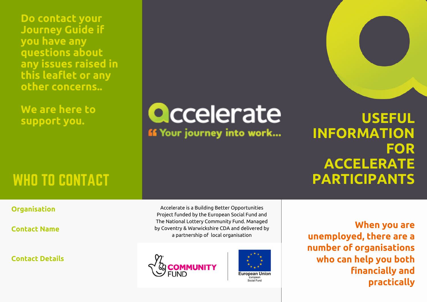**Do contact your Journey Guide if you have any questions about any issues raised in this leaflet or any other concerns..**

**We are here to support you.**

**Qccelerate** 

*If* Your journey into work...

**USEFUL INFORMATION FOR ACCELERATE** WHO TO CONTACT **The CONTACT CONTACT CONTACT CONTACT CONTACT CONTACT CONTACT CONTACT CONTACT CONTACT CONTACT CONTACT CONTACT CONTACT CONTACT CONTACT CONTACT CONTACT CONTACT CONTACT CONTACT CONTACT CONTACT CONTACT CONTACT CO** 

### **Organisation**

**Contact Name**

**Contact Details**

Accelerate is a Building Better Opportunities Project funded by the European Social Fund and The National Lottery Community Fund. Managed by Coventry & Warwickshire CDA and delivered by a partnership of local organisation





**When you are unemployed, there are a number of organisations who can help you both financially and practically**